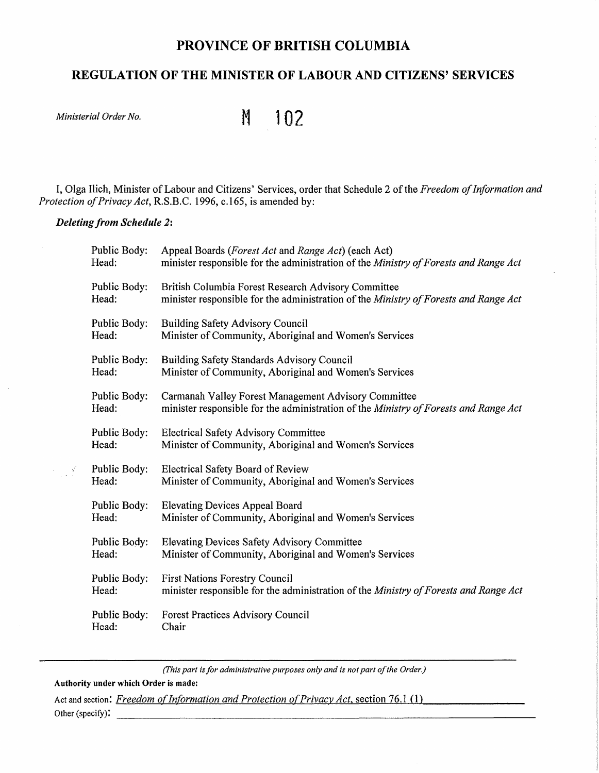## **PROVINCE OF BRITISH COLUMBIA**

#### **REGULATION OF THE MINISTER OF LABOUR AND CITIZENS' SERVICES**

*Ministerial Order No.* M 102

I, Olga Ilich, Minister of Labour and Citizens' Services, order that Schedule 2 of the *Freedom of Information and Protection of Privacy Act,* R.S.B.C. 1996, c.165, is amended by:

#### *Deleting from Schedule* **2:**

 $\mathcal{F} = \mathcal{F}$ 

| Public Body: | Appeal Boards ( <i>Forest Act</i> and <i>Range Act</i> ) (each Act)                  |
|--------------|--------------------------------------------------------------------------------------|
| Head:        | minister responsible for the administration of the Ministry of Forests and Range Act |
| Public Body: | British Columbia Forest Research Advisory Committee                                  |
| Head:        | minister responsible for the administration of the Ministry of Forests and Range Act |
| Public Body: | <b>Building Safety Advisory Council</b>                                              |
| Head:        | Minister of Community, Aboriginal and Women's Services                               |
| Public Body: | <b>Building Safety Standards Advisory Council</b>                                    |
| Head:        | Minister of Community, Aboriginal and Women's Services                               |
| Public Body: | Carmanah Valley Forest Management Advisory Committee                                 |
| Head:        | minister responsible for the administration of the Ministry of Forests and Range Act |
| Public Body: | <b>Electrical Safety Advisory Committee</b>                                          |
| Head:        | Minister of Community, Aboriginal and Women's Services                               |
| Public Body: | Electrical Safety Board of Review                                                    |
| Head:        | Minister of Community, Aboriginal and Women's Services                               |
| Public Body: | <b>Elevating Devices Appeal Board</b>                                                |
| Head:        | Minister of Community, Aboriginal and Women's Services                               |
| Public Body: | Elevating Devices Safety Advisory Committee                                          |
| Head:        | Minister of Community, Aboriginal and Women's Services                               |
| Public Body: | <b>First Nations Forestry Council</b>                                                |
| Head:        | minister responsible for the administration of the Ministry of Forests and Range Act |
| Public Body: | <b>Forest Practices Advisory Council</b>                                             |
| Head:        | Chair                                                                                |

*(This part is for administrative purposes only and is not part of the Order.)* 

**Authority under which Order is made:** 

Act and section: *Freedom of Information and Protection of Privacy Act*, section 76.1 (1) Other (specify):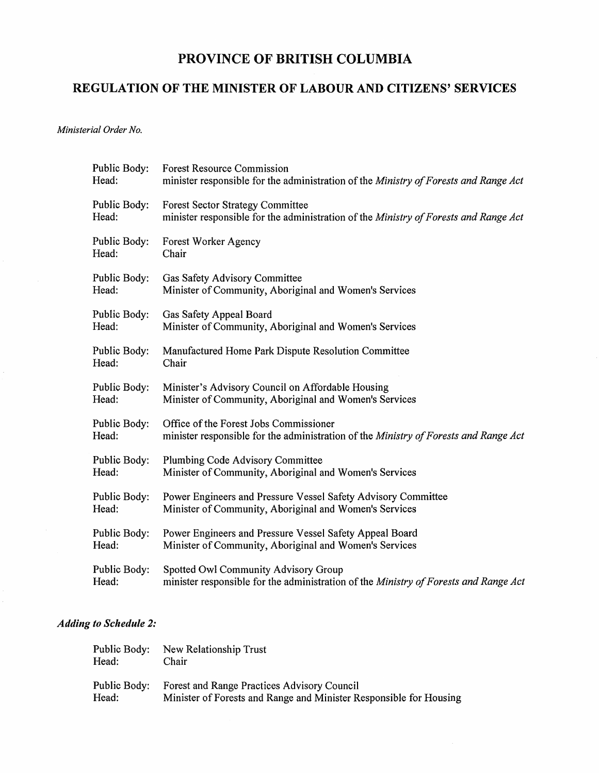## **PROVINCE OF BRITISH COLUMBIA**

## **REGULATION OF THE MINISTER OF LABOUR AND CITIZENS' SERVICES**

*Ministerial Order No.* 

| Public Body: | Forest Resource Commission                                                           |
|--------------|--------------------------------------------------------------------------------------|
| Head:        | minister responsible for the administration of the Ministry of Forests and Range Act |
| Public Body: | <b>Forest Sector Strategy Committee</b>                                              |
| Head:        | minister responsible for the administration of the Ministry of Forests and Range Act |
| Public Body: | Forest Worker Agency                                                                 |
| Head:        | Chair                                                                                |
| Public Body: | Gas Safety Advisory Committee                                                        |
| Head:        | Minister of Community, Aboriginal and Women's Services                               |
| Public Body: | Gas Safety Appeal Board                                                              |
| Head:        | Minister of Community, Aboriginal and Women's Services                               |
| Public Body: | Manufactured Home Park Dispute Resolution Committee                                  |
| Head:        | Chair                                                                                |
| Public Body: | Minister's Advisory Council on Affordable Housing                                    |
| Head:        | Minister of Community, Aboriginal and Women's Services                               |
| Public Body: | Office of the Forest Jobs Commissioner                                               |
| Head:        | minister responsible for the administration of the Ministry of Forests and Range Act |
| Public Body: | Plumbing Code Advisory Committee                                                     |
| Head:        | Minister of Community, Aboriginal and Women's Services                               |
| Public Body: | Power Engineers and Pressure Vessel Safety Advisory Committee                        |
| Head:        | Minister of Community, Aboriginal and Women's Services                               |
| Public Body: | Power Engineers and Pressure Vessel Safety Appeal Board                              |
| Head:        | Minister of Community, Aboriginal and Women's Services                               |
| Public Body: | Spotted Owl Community Advisory Group                                                 |
| Head:        | minister responsible for the administration of the Ministry of Forests and Range Act |

#### *Adding to Schedule 2:*

| Head:        | Public Body: New Relationship Trust<br>Chair                       |
|--------------|--------------------------------------------------------------------|
| Public Body: | Forest and Range Practices Advisory Council                        |
| Head:        | Minister of Forests and Range and Minister Responsible for Housing |